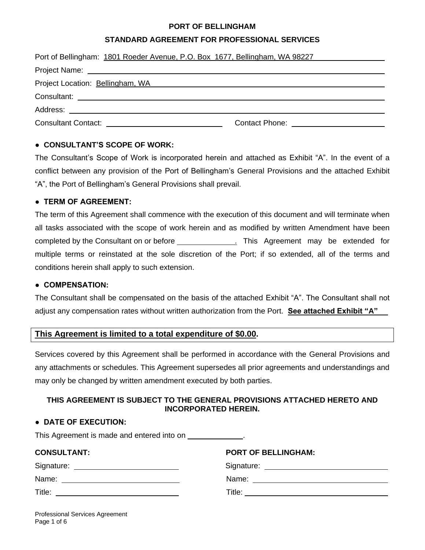#### **PORT OF BELLINGHAM**

#### **STANDARD AGREEMENT FOR PROFESSIONAL SERVICES**

| Port of Bellingham: 1801 Roeder Avenue, P.O. Box 1677, Bellingham, WA 98227                                   |                                        |
|---------------------------------------------------------------------------------------------------------------|----------------------------------------|
|                                                                                                               |                                        |
| Project Location: Bellingham, WA Network and Contract the Contract of the Contract of the Contract of Project |                                        |
|                                                                                                               |                                        |
|                                                                                                               |                                        |
| Consultant Contact: <u>Canadian Consultant Contact:</u>                                                       | Contact Phone: Exercise Contact Phone: |

## **● CONSULTANT'S SCOPE OF WORK:**

The Consultant's Scope of Work is incorporated herein and attached as Exhibit "A". In the event of a conflict between any provision of the Port of Bellingham's General Provisions and the attached Exhibit "A", the Port of Bellingham's General Provisions shall prevail.

#### **● TERM OF AGREEMENT:**

The term of this Agreement shall commence with the execution of this document and will terminate when all tasks associated with the scope of work herein and as modified by written Amendment have been completed by the Consultant on or before . This Agreement may be extended for multiple terms or reinstated at the sole discretion of the Port; if so extended, all of the terms and conditions herein shall apply to such extension.

#### **● COMPENSATION:**

The Consultant shall be compensated on the basis of the attached Exhibit "A". The Consultant shall not adjust any compensation rates without written authorization from the Port. **See attached Exhibit "A"**

# **This Agreement is limited to a total expenditure of \$0.00.**

Services covered by this Agreement shall be performed in accordance with the General Provisions and any attachments or schedules. This Agreement supersedes all prior agreements and understandings and may only be changed by written amendment executed by both parties.

## **THIS AGREEMENT IS SUBJECT TO THE GENERAL PROVISIONS ATTACHED HERETO AND INCORPORATED HEREIN.**

### **● DATE OF EXECUTION:**

This Agreement is made and entered into on \_\_\_\_\_\_\_\_\_\_\_\_\_.

| <b>CONSULTANT:</b>                                                                                                            | <b>PORT OF BELLINGHAM:</b> |
|-------------------------------------------------------------------------------------------------------------------------------|----------------------------|
|                                                                                                                               |                            |
| Name:<br><u> 1989 - Johann John Stein, markin fan it ferstjer fan it ferstjer fan it ferstjer fan it ferstjer fan it fers</u> |                            |
| Title:<br><u> 1989 - Johann Stein, mars an deutscher Stein († 1958)</u>                                                       |                            |
|                                                                                                                               |                            |

Professional Services Agreement Page 1 of 6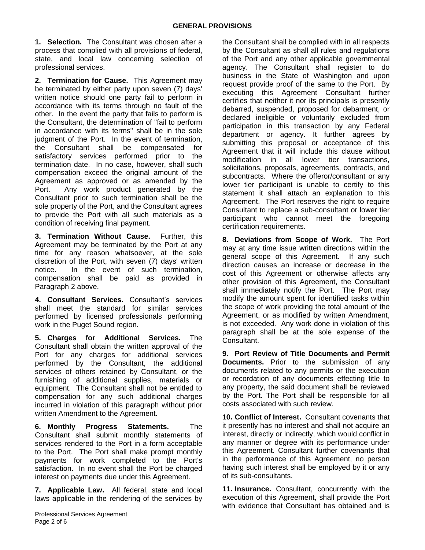**1. Selection.** The Consultant was chosen after a process that complied with all provisions of federal, state, and local law concerning selection of professional services.

**2. Termination for Cause.** This Agreement may be terminated by either party upon seven (7) days' written notice should one party fail to perform in accordance with its terms through no fault of the other. In the event the party that fails to perform is the Consultant, the determination of "fail to perform in accordance with its terms" shall be in the sole judgment of the Port. In the event of termination, the Consultant shall be compensated for satisfactory services performed prior to the termination date. In no case, however, shall such compensation exceed the original amount of the Agreement as approved or as amended by the Port. Any work product generated by the Consultant prior to such termination shall be the sole property of the Port, and the Consultant agrees to provide the Port with all such materials as a condition of receiving final payment.

**3. Termination Without Cause.** Further, this Agreement may be terminated by the Port at any time for any reason whatsoever, at the sole discretion of the Port, with seven (7) days' written notice. In the event of such termination, compensation shall be paid as provided in Paragraph 2 above.

**4. Consultant Services.** Consultant's services shall meet the standard for similar services performed by licensed professionals performing work in the Puget Sound region.

**5. Charges for Additional Services.** The Consultant shall obtain the written approval of the Port for any charges for additional services performed by the Consultant, the additional services of others retained by Consultant, or the furnishing of additional supplies, materials or equipment. The Consultant shall not be entitled to compensation for any such additional charges incurred in violation of this paragraph without prior written Amendment to the Agreement.

**6. Monthly Progress Statements.** The Consultant shall submit monthly statements of services rendered to the Port in a form acceptable to the Port. The Port shall make prompt monthly payments for work completed to the Port's satisfaction. In no event shall the Port be charged interest on payments due under this Agreement.

**7. Applicable Law.** All federal, state and local laws applicable in the rendering of the services by the Consultant shall be complied with in all respects by the Consultant as shall all rules and regulations of the Port and any other applicable governmental agency. The Consultant shall register to do business in the State of Washington and upon request provide proof of the same to the Port. By executing this Agreement Consultant further certifies that neither it nor its principals is presently debarred, suspended, proposed for debarment, or declared ineligible or voluntarily excluded from participation in this transaction by any Federal department or agency. It further agrees by submitting this proposal or acceptance of this Agreement that it will include this clause without modification in all lower tier transactions, solicitations, proposals, agreements, contracts, and subcontracts. Where the offeror/consultant or any lower tier participant is unable to certify to this statement it shall attach an explanation to this Agreement. The Port reserves the right to require Consultant to replace a sub-consultant or lower tier participant who cannot meet the foregoing certification requirements.

**8. Deviations from Scope of Work.** The Port may at any time issue written directions within the general scope of this Agreement. If any such direction causes an increase or decrease in the cost of this Agreement or otherwise affects any other provision of this Agreement, the Consultant shall immediately notify the Port. The Port may modify the amount spent for identified tasks within the scope of work providing the total amount of the Agreement, or as modified by written Amendment, is not exceeded. Any work done in violation of this paragraph shall be at the sole expense of the Consultant.

**9. Port Review of Title Documents and Permit Documents.** Prior to the submission of any documents related to any permits or the execution or recordation of any documents effecting title to any property, the said document shall be reviewed by the Port. The Port shall be responsible for all costs associated with such review.

**10. Conflict of Interest.** Consultant covenants that it presently has no interest and shall not acquire an interest, directly or indirectly, which would conflict in any manner or degree with its performance under this Agreement. Consultant further covenants that in the performance of this Agreement, no person having such interest shall be employed by it or any of its sub-consultants.

**11. Insurance.** Consultant, concurrently with the execution of this Agreement, shall provide the Port with evidence that Consultant has obtained and is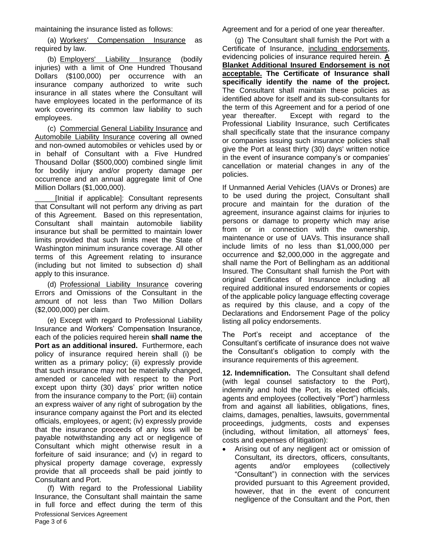maintaining the insurance listed as follows:

(a) Workers' Compensation Insurance as required by law.

(b) Employers' Liability Insurance (bodily injuries) with a limit of One Hundred Thousand Dollars (\$100,000) per occurrence with an insurance company authorized to write such insurance in all states where the Consultant will have employees located in the performance of its work covering its common law liability to such employees.

(c) Commercial General Liability Insurance and Automobile Liability Insurance covering all owned and non-owned automobiles or vehicles used by or in behalf of Consultant with a Five Hundred Thousand Dollar (\$500,000) combined single limit for bodily injury and/or property damage per occurrence and an annual aggregate limit of One Million Dollars (\$1,000,000).

\_\_\_\_\_[Initial if applicable]: Consultant represents that Consultant will not perform any driving as part of this Agreement. Based on this representation, Consultant shall maintain automobile liability insurance but shall be permitted to maintain lower limits provided that such limits meet the State of Washington minimum insurance coverage. All other terms of this Agreement relating to insurance (including but not limited to subsection d) shall apply to this insurance.

(d) Professional Liability Insurance covering Errors and Omissions of the Consultant in the amount of not less than Two Million Dollars (\$2,000,000) per claim.

(e) Except with regard to Professional Liability Insurance and Workers' Compensation Insurance, each of the policies required herein **shall name the Port as an additional insured.** Furthermore, each policy of insurance required herein shall (i) be written as a primary policy; (ii) expressly provide that such insurance may not be materially changed, amended or canceled with respect to the Port except upon thirty (30) days' prior written notice from the insurance company to the Port; (iii) contain an express waiver of any right of subrogation by the insurance company against the Port and its elected officials, employees, or agent; (iv) expressly provide that the insurance proceeds of any loss will be payable notwithstanding any act or negligence of Consultant which might otherwise result in a forfeiture of said insurance; and (v) in regard to physical property damage coverage, expressly provide that all proceeds shall be paid jointly to Consultant and Port.

Professional Services Agreement Page 3 of 6 (f) With regard to the Professional Liability Insurance, the Consultant shall maintain the same in full force and effect during the term of this

Agreement and for a period of one year thereafter.

(g) The Consultant shall furnish the Port with a Certificate of Insurance, including endorsements, evidencing policies of insurance required herein. **A Blanket Additional Insured Endorsement is not acceptable. The Certificate of Insurance shall specifically identify the name of the project.** The Consultant shall maintain these policies as identified above for itself and its sub-consultants for the term of this Agreement and for a period of one year thereafter. Except with regard to the Professional Liability Insurance, such Certificates shall specifically state that the insurance company or companies issuing such insurance policies shall give the Port at least thirty (30) days' written notice in the event of insurance company's or companies' cancellation or material changes in any of the policies.

If Unmanned Aerial Vehicles (UAVs or Drones) are to be used during the project, Consultant shall procure and maintain for the duration of the agreement, insurance against claims for injuries to persons or damage to property which may arise from or in connection with the ownership, maintenance or use of UAVs. This insurance shall include limits of no less than \$1,000,000 per occurrence and \$2,000,000 in the aggregate and shall name the Port of Bellingham as an additional Insured. The Consultant shall furnish the Port with original Certificates of Insurance including all required additional insured endorsements or copies of the applicable policy language effecting coverage as required by this clause, and a copy of the Declarations and Endorsement Page of the policy listing all policy endorsements.

The Port's receipt and acceptance of the Consultant's certificate of insurance does not waive the Consultant's obligation to comply with the insurance requirements of this agreement.

**12. Indemnification.** The Consultant shall defend (with legal counsel satisfactory to the Port), indemnify and hold the Port, its elected officials, agents and employees (collectively "Port") harmless from and against all liabilities, obligations, fines, claims, damages, penalties, lawsuits, governmental proceedings, judgments, costs and expenses (including, without limitation, all attorneys' fees, costs and expenses of litigation):

 Arising out of any negligent act or omission of Consultant, its directors, officers, consultants, agents and/or employees (collectively "Consultant") in connection with the services provided pursuant to this Agreement provided, however, that in the event of concurrent negligence of the Consultant and the Port, then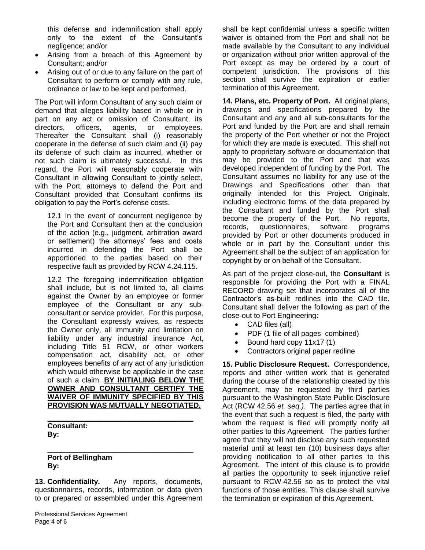this defense and indemnification shall apply only to the extent of the Consultant's negligence; and/or

- Arising from a breach of this Agreement by Consultant; and/or
- Arising out of or due to any failure on the part of Consultant to perform or comply with any rule, ordinance or law to be kept and performed.

The Port will inform Consultant of any such claim or demand that alleges liability based in whole or in part on any act or omission of Consultant, its directors, officers, agents, or employees. Thereafter the Consultant shall (i) reasonably cooperate in the defense of such claim and (ii) pay its defense of such claim as incurred, whether or not such claim is ultimately successful. In this regard, the Port will reasonably cooperate with Consultant in allowing Consultant to jointly select, with the Port, attorneys to defend the Port and Consultant provided that Consultant confirms its obligation to pay the Port's defense costs.

12.1 In the event of concurrent negligence by the Port and Consultant then at the conclusion of the action (e.g., judgment, arbitration award or settlement) the attorneys' fees and costs incurred in defending the Port shall be apportioned to the parties based on their respective fault as provided by RCW 4.24.115.

12.2 The foregoing indemnification obligation shall include, but is not limited to, all claims against the Owner by an employee or former employee of the Consultant or any subconsultant or service provider. For this purpose, the Consultant expressly waives, as respects the Owner only, all immunity and limitation on liability under any industrial insurance Act, including Title 51 RCW, or other workers compensation act, disability act, or other employees benefits of any act of any jurisdiction which would otherwise be applicable in the case of such a claim. **BY INITIALING BELOW THE OWNER AND CONSULTANT CERTIFY THE WAIVER OF IMMUNITY SPECIFIED BY THIS PROVISION WAS MUTUALLY NEGOTIATED.**

**Consultant: By:**

**Port of Bellingham By:** 

**13. Confidentiality.** Any reports, documents, questionnaires, records, information or data given to or prepared or assembled under this Agreement

\_\_\_\_\_\_\_\_\_\_\_\_\_\_\_\_\_\_\_\_\_\_\_\_\_\_\_\_\_\_\_\_\_\_\_\_

 $\mathcal{L}_\text{max}$  and  $\mathcal{L}_\text{max}$  and  $\mathcal{L}_\text{max}$  and  $\mathcal{L}_\text{max}$ 

shall be kept confidential unless a specific written waiver is obtained from the Port and shall not be made available by the Consultant to any individual or organization without prior written approval of the Port except as may be ordered by a court of competent jurisdiction. The provisions of this section shall survive the expiration or earlier termination of this Agreement.

**14. Plans, etc. Property of Port.** All original plans, drawings and specifications prepared by the Consultant and any and all sub-consultants for the Port and funded by the Port are and shall remain the property of the Port whether or not the Project for which they are made is executed. This shall not apply to proprietary software or documentation that may be provided to the Port and that was developed independent of funding by the Port. The Consultant assumes no liability for any use of the Drawings and Specifications other than that originally intended for this Project. Originals, including electronic forms of the data prepared by the Consultant and funded by the Port shall become the property of the Port. No reports, records, questionnaires, software programs provided by Port or other documents produced in whole or in part by the Consultant under this Agreement shall be the subject of an application for copyright by or on behalf of the Consultant.

As part of the project close-out, the **Consultant** is responsible for providing the Port with a FINAL RECORD drawing set that incorporates all of the Contractor's as-built redlines into the CAD file. Consultant shall deliver the following as part of the close-out to Port Engineering:

- CAD files (all)
- PDF (1 file of all pages combined)
- $\bullet$  Bound hard copy 11x17 (1)
- Contractors original paper redline

**15. Public Disclosure Request.** Correspondence, reports and other written work that is generated during the course of the relationship created by this Agreement, may be requested by third parties pursuant to the Washington State Public Disclosure Act (RCW 42.56 *et. seq.)*. The parties agree that in the event that such a request is filed, the party with whom the request is filed will promptly notify all other parties to this Agreement. The parties further agree that they will not disclose any such requested material until at least ten (10) business days after providing notification to all other parties to this Agreement. The intent of this clause is to provide all parties the opportunity to seek injunctive relief pursuant to RCW 42.56 so as to protect the vital functions of those entities. This clause shall survive the termination or expiration of this Agreement.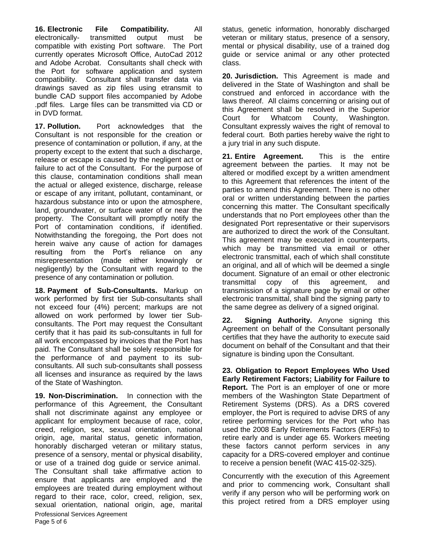**16. Electronic File Compatibility.** All electronically- transmitted output must be compatible with existing Port software. The Port currently operates Microsoft Office, AutoCad 2012 and Adobe Acrobat. Consultants shall check with the Port for software application and system compatibility. Consultant shall transfer data via drawings saved as zip files using etransmit to bundle CAD support files accompanied by Adobe .pdf files. Large files can be transmitted via CD or in DVD format.

**17. Pollution.** Port acknowledges that the Consultant is not responsible for the creation or presence of contamination or pollution, if any, at the property except to the extent that such a discharge, release or escape is caused by the negligent act or failure to act of the Consultant. For the purpose of this clause, contamination conditions shall mean the actual or alleged existence, discharge, release or escape of any irritant, pollutant, contaminant, or hazardous substance into or upon the atmosphere, land, groundwater, or surface water of or near the property. The Consultant will promptly notify the Port of contamination conditions, if identified. Notwithstanding the foregoing, the Port does not herein waive any cause of action for damages resulting from the Port's reliance on any misrepresentation (made either knowingly or negligently) by the Consultant with regard to the presence of any contamination or pollution.

**18. Payment of Sub-Consultants.** Markup on work performed by first tier Sub-consultants shall not exceed four (4%) percent; markups are not allowed on work performed by lower tier Subconsultants. The Port may request the Consultant certify that it has paid its sub-consultants in full for all work encompassed by invoices that the Port has paid. The Consultant shall be solely responsible for the performance of and payment to its subconsultants. All such sub-consultants shall possess all licenses and insurance as required by the laws of the State of Washington.

Professional Services Agreement Page 5 of 6 **19. Non-Discrimination.** In connection with the performance of this Agreement, the Consultant shall not discriminate against any employee or applicant for employment because of race, color, creed, religion, sex, sexual orientation, national origin, age, marital status, genetic information, honorably discharged veteran or military status, presence of a sensory, mental or physical disability, or use of a trained dog guide or service animal. The Consultant shall take affirmative action to ensure that applicants are employed and the employees are treated during employment without regard to their race, color, creed, religion, sex, sexual orientation, national origin, age, marital status, genetic information, honorably discharged veteran or military status, presence of a sensory, mental or physical disability, use of a trained dog guide or service animal or any other protected class.

**20. Jurisdiction.** This Agreement is made and delivered in the State of Washington and shall be construed and enforced in accordance with the laws thereof. All claims concerning or arising out of this Agreement shall be resolved in the Superior Court for Whatcom County, Washington. Consultant expressly waives the right of removal to federal court. Both parties hereby waive the right to a jury trial in any such dispute.

**21. Entire Agreement.** This is the entire agreement between the parties. It may not be altered or modified except by a written amendment to this Agreement that references the intent of the parties to amend this Agreement. There is no other oral or written understanding between the parties concerning this matter. The Consultant specifically understands that no Port employees other than the designated Port representative or their supervisors are authorized to direct the work of the Consultant. This agreement may be executed in counterparts, which may be transmitted via email or other electronic transmittal, each of which shall constitute an original, and all of which will be deemed a single document. Signature of an email or other electronic transmittal copy of this agreement, and transmission of a signature page by email or other electronic transmittal, shall bind the signing party to the same degree as delivery of a signed original.

**22. Signing Authority.** Anyone signing this Agreement on behalf of the Consultant personally certifies that they have the authority to execute said document on behalf of the Consultant and that their signature is binding upon the Consultant.

**23. Obligation to Report Employees Who Used Early Retirement Factors; Liability for Failure to Report.** The Port is an employer of one or more members of the Washington State Department of Retirement Systems (DRS). As a DRS covered employer, the Port is required to advise DRS of any retiree performing services for the Port who has used the 2008 Early Retirements Factors (ERFs) to retire early and is under age 65. Workers meeting these factors cannot perform services in any capacity for a DRS-covered employer and continue to receive a pension benefit (WAC 415-02-325).

Concurrently with the execution of this Agreement and prior to commencing work, Consultant shall verify if any person who will be performing work on this project retired from a DRS employer using